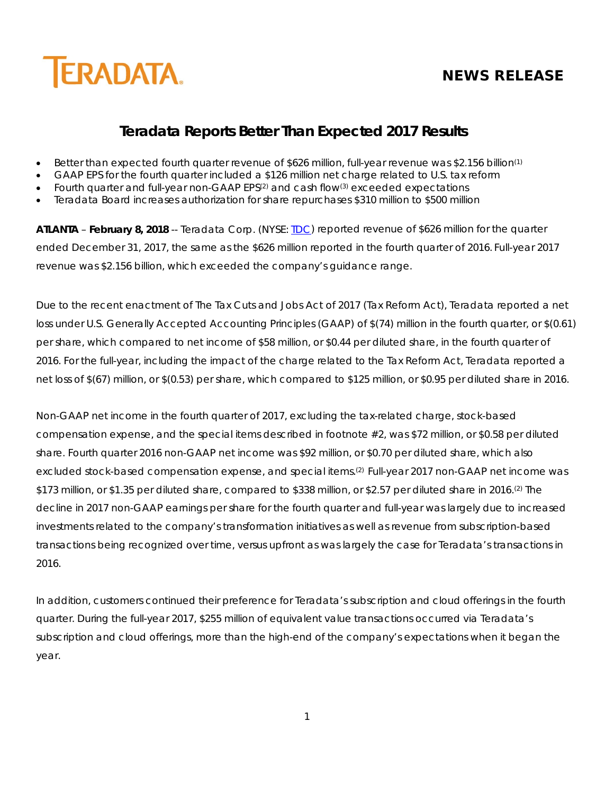# **NEWS RELEASE**



# **Teradata Reports Better Than Expected 2017 Results**

- Better than expected fourth quarter revenue of \$626 million, full-year revenue was \$2.156 billion<sup>(1)</sup>
- GAAP EPS for the fourth quarter included a \$126 million net charge related to U.S. tax reform
- Fourth quarter and full-year non-GAAP EPS(2) and cash flow(3) exceeded expectations
- Teradata Board increases authorization for share repurchases \$310 million to \$500 million

**ATLANTA** – **February 8, 2018** -- Teradata Corp. (NYSE: [TDC\)](http://investor.teradata.com/about-teradata/default.aspx) reported revenue of \$626 million for the quarter ended December 31, 2017, the same as the \$626 million reported in the fourth quarter of 2016. Full-year 2017 revenue was \$2.156 billion, which exceeded the company's guidance range.

Due to the recent enactment of The Tax Cuts and Jobs Act of 2017 (Tax Reform Act), Teradata reported a net loss under U.S. Generally Accepted Accounting Principles (GAAP) of \$(74) million in the fourth quarter, or \$(0.61) per share, which compared to net income of \$58 million, or \$0.44 per diluted share, in the fourth quarter of 2016. For the full-year, including the impact of the charge related to the Tax Reform Act, Teradata reported a net loss of \$(67) million, or \$(0.53) per share, which compared to \$125 million, or \$0.95 per diluted share in 2016.

Non-GAAP net income in the fourth quarter of 2017, excluding the tax-related charge, stock-based compensation expense, and the special items described in footnote #2, was \$72 million, or \$0.58 per diluted share. Fourth quarter 2016 non-GAAP net income was \$92 million, or \$0.70 per diluted share, which also excluded stock-based compensation expense, and special items.(2) Full-year 2017 non-GAAP net income was \$173 million, or \$1.35 per diluted share, compared to \$338 million, or \$2.57 per diluted share in 2016.(2) The decline in 2017 non-GAAP earnings per share for the fourth quarter and full-year was largely due to increased investments related to the company's transformation initiatives as well as revenue from subscription-based transactions being recognized over time, versus upfront as was largely the case for Teradata's transactions in 2016.

In addition, customers continued their preference for Teradata's subscription and cloud offerings in the fourth quarter. During the full-year 2017, \$255 million of equivalent value transactions occurred via Teradata's subscription and cloud offerings, more than the high-end of the company's expectations when it began the year.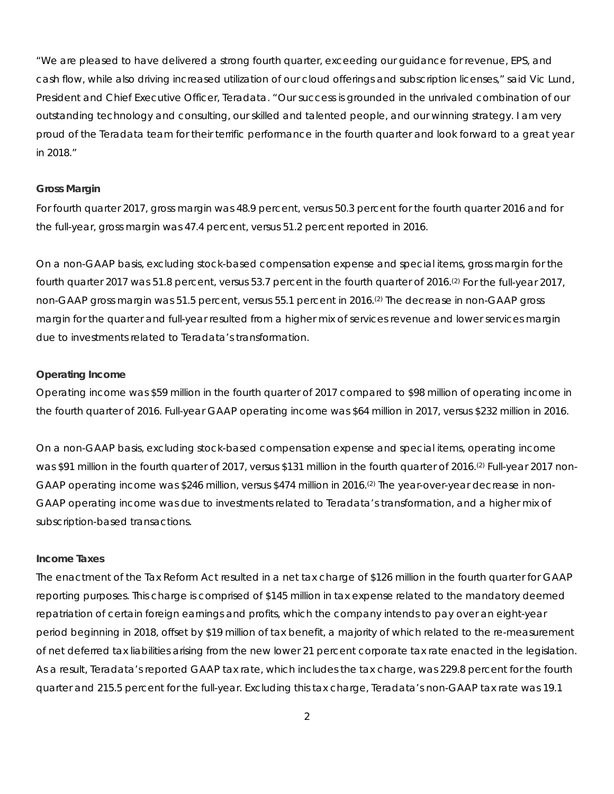"We are pleased to have delivered a strong fourth quarter, exceeding our guidance for revenue, EPS, and cash flow, while also driving increased utilization of our cloud offerings and subscription licenses," said Vic Lund, President and Chief Executive Officer, Teradata. "Our success is grounded in the unrivaled combination of our outstanding technology and consulting, our skilled and talented people, and our winning strategy. I am very proud of the Teradata team for their terrific performance in the fourth quarter and look forward to a great year in 2018."

#### **Gross Margin**

For fourth quarter 2017, gross margin was 48.9 percent, versus 50.3 percent for the fourth quarter 2016 and for the full-year, gross margin was 47.4 percent, versus 51.2 percent reported in 2016.

On a non-GAAP basis, excluding stock-based compensation expense and special items, gross margin for the fourth quarter 2017 was 51.8 percent, versus 53.7 percent in the fourth quarter of 2016.(2) For the full-year 2017, non-GAAP gross margin was 51.5 percent, versus 55.1 percent in 2016.(2) The decrease in non-GAAP gross margin for the quarter and full-year resulted from a higher mix of services revenue and lower services margin due to investments related to Teradata's transformation.

#### **Operating Income**

Operating income was \$59 million in the fourth quarter of 2017 compared to \$98 million of operating income in the fourth quarter of 2016. Full-year GAAP operating income was \$64 million in 2017, versus \$232 million in 2016.

On a non-GAAP basis, excluding stock-based compensation expense and special items, operating income was \$91 million in the fourth quarter of 2017, versus \$131 million in the fourth quarter of 2016.<sup>(2)</sup> Full-year 2017 non-GAAP operating income was \$246 million, versus \$474 million in 2016.(2) The year-over-year decrease in non-GAAP operating income was due to investments related to Teradata's transformation, and a higher mix of subscription-based transactions.

#### **Income Taxes**

The enactment of the Tax Reform Act resulted in a net tax charge of \$126 million in the fourth quarter for GAAP reporting purposes. This charge is comprised of \$145 million in tax expense related to the mandatory deemed repatriation of certain foreign earnings and profits, which the company intends to pay over an eight-year period beginning in 2018, offset by \$19 million of tax benefit, a majority of which related to the re-measurement of net deferred tax liabilities arising from the new lower 21 percent corporate tax rate enacted in the legislation. As a result, Teradata's reported GAAP tax rate, which includes the tax charge, was 229.8 percent for the fourth quarter and 215.5 percent for the full-year. Excluding this tax charge, Teradata's non-GAAP tax rate was 19.1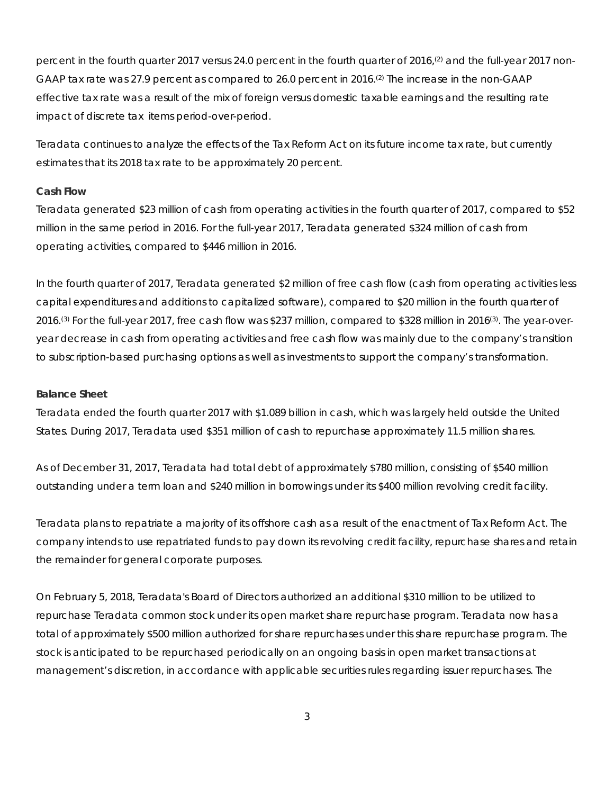percent in the fourth quarter 2017 versus 24.0 percent in the fourth quarter of 2016,<sup>(2)</sup> and the full-year 2017 non-GAAP tax rate was 27.9 percent as compared to 26.0 percent in 2016.(2) The increase in the non-GAAP effective tax rate was a result of the mix of foreign versus domestic taxable earnings and the resulting rate impact of discrete tax items period-over-period.

Teradata continues to analyze the effects of the Tax Reform Act on its future income tax rate, but currently estimates that its 2018 tax rate to be approximately 20 percent.

#### **Cash Flow**

Teradata generated \$23 million of cash from operating activities in the fourth quarter of 2017, compared to \$52 million in the same period in 2016. For the full-year 2017, Teradata generated \$324 million of cash from operating activities, compared to \$446 million in 2016.

In the fourth quarter of 2017, Teradata generated \$2 million of free cash flow (cash from operating activities less capital expenditures and additions to capitalized software), compared to \$20 million in the fourth quarter of 2016.(3) For the full-year 2017, free cash flow was \$237 million, compared to \$328 million in 2016(3). The year-overyear decrease in cash from operating activities and free cash flow was mainly due to the company's transition to subscription-based purchasing options as well as investments to support the company's transformation.

#### **Balance Sheet**

Teradata ended the fourth quarter 2017 with \$1.089 billion in cash, which was largely held outside the United States. During 2017, Teradata used \$351 million of cash to repurchase approximately 11.5 million shares.

As of December 31, 2017, Teradata had total debt of approximately \$780 million, consisting of \$540 million outstanding under a term loan and \$240 million in borrowings under its \$400 million revolving credit facility.

Teradata plans to repatriate a majority of its offshore cash as a result of the enactment of Tax Reform Act. The company intends to use repatriated funds to pay down its revolving credit facility, repurchase shares and retain the remainder for general corporate purposes.

On February 5, 2018, Teradata's Board of Directors authorized an additional \$310 million to be utilized to repurchase Teradata common stock under its open market share repurchase program. Teradata now has a total of approximately \$500 million authorized for share repurchases under this share repurchase program. The stock is anticipated to be repurchased periodically on an ongoing basis in open market transactions at management's discretion, in accordance with applicable securities rules regarding issuer repurchases. The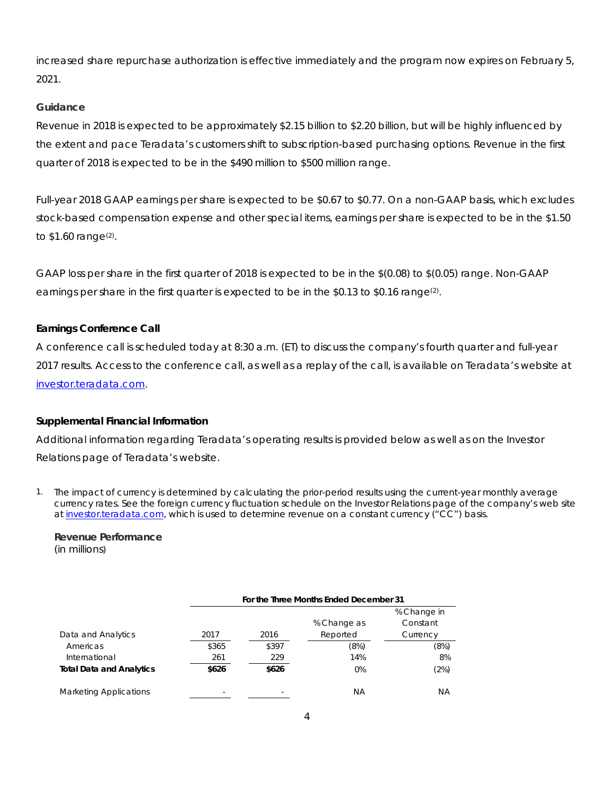increased share repurchase authorization is effective immediately and the program now expires on February 5, 2021.

# **Guidance**

Revenue in 2018 is expected to be approximately \$2.15 billion to \$2.20 billion, but will be highly influenced by the extent and pace Teradata's customers shift to subscription-based purchasing options. Revenue in the first quarter of 2018 is expected to be in the \$490 million to \$500 million range.

Full-year 2018 GAAP earnings per share is expected to be \$0.67 to \$0.77. On a non-GAAP basis, which excludes stock-based compensation expense and other special items, earnings per share is expected to be in the \$1.50 to \$1.60 range<sup>(2)</sup>.

GAAP loss per share in the first quarter of 2018 is expected to be in the \$(0.08) to \$(0.05) range. Non-GAAP earnings per share in the first quarter is expected to be in the \$0.13 to \$0.16 range<sup>(2)</sup>.

# **Earnings Conference Call**

A conference call is scheduled today at 8:30 a.m. (ET) to discuss the company's fourth quarter and full-year 2017 results. Access to the conference call, as well as a replay of the call, is available on Teradata's website at [investor.teradata.com.](http://investor.teradata.com/about-teradata/default.aspx#top)

# **Supplemental Financial Information**

Additional information regarding Teradata's operating results is provided below as well as on the Investor Relations page of Teradata's website.

1. The impact of currency is determined by calculating the prior-period results using the current-year monthly average currency rates. See the foreign currency fluctuation schedule on the Investor Relations page of the company's web site a[t investor.teradata.com,](http://investor.teradata.com/about-teradata/default.aspx#top) which is used to determine revenue on a constant currency ("CC") basis.

#### **Revenue Performance** (in millions)

|                                 |       | For the Three Months Ended December 31 |             |             |  |  |  |  |  |  |
|---------------------------------|-------|----------------------------------------|-------------|-------------|--|--|--|--|--|--|
|                                 |       |                                        |             | % Change in |  |  |  |  |  |  |
|                                 |       |                                        | % Change as | Constant    |  |  |  |  |  |  |
| Data and Analytics              | 2017  | 2016                                   | Reported    | Currency    |  |  |  |  |  |  |
| Americas                        | \$365 | \$397                                  | (8%)        | (8%)        |  |  |  |  |  |  |
| International                   | 261   | 229                                    | 14%         | 8%          |  |  |  |  |  |  |
| <b>Total Data and Analytics</b> | \$626 | \$626                                  | 0%          | (2%)        |  |  |  |  |  |  |
| <b>Marketing Applications</b>   | -     |                                        | ΝA          | ΝA          |  |  |  |  |  |  |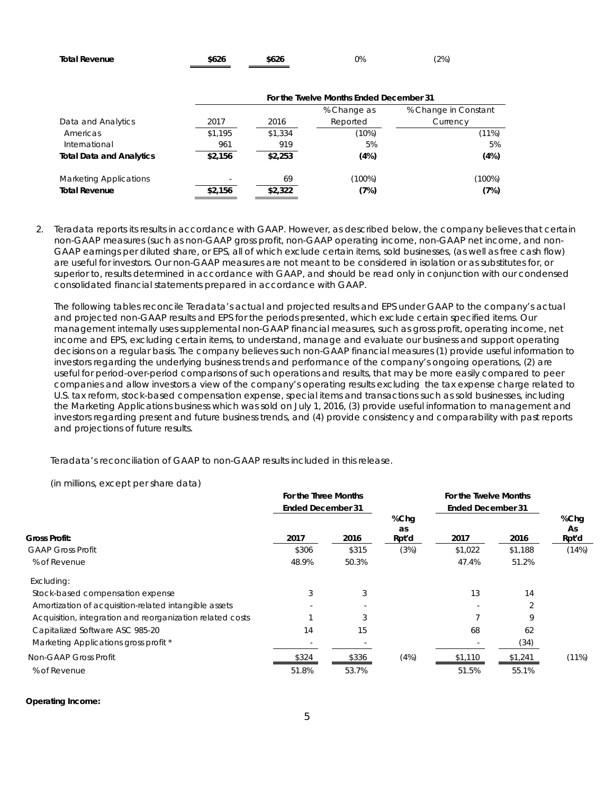| <b>Total Revenue</b> | \$626 | \$626 | 0% | (2%) |
|----------------------|-------|-------|----|------|
|                      |       |       |    |      |

|                                 | For the Twelve Months Ended December 31 |         |             |                      |  |  |  |  |
|---------------------------------|-----------------------------------------|---------|-------------|----------------------|--|--|--|--|
|                                 |                                         |         | % Change as | % Change in Constant |  |  |  |  |
| Data and Analytics              | 2017                                    | 2016    | Reported    | Currency             |  |  |  |  |
| Americas                        | \$1,195                                 | \$1.334 | (10%)       | (11%)                |  |  |  |  |
| International                   | 961                                     | 919     | 5%          | 5%                   |  |  |  |  |
| <b>Total Data and Analytics</b> | \$2,156                                 | \$2,253 | (4%)        | (4%)                 |  |  |  |  |
| <b>Marketing Applications</b>   |                                         | 69      | (100%)      | (100%)               |  |  |  |  |
| <b>Total Revenue</b>            | \$2,156                                 | \$2,322 | (7%)        | (7%)                 |  |  |  |  |

2. Teradata reports its results in accordance with GAAP. However, as described below, the company believes that certain non-GAAP measures (such as non-GAAP gross profit, non-GAAP operating income, non-GAAP net income, and non-GAAP earnings per diluted share, or EPS, all of which exclude certain items, sold businesses, (as well as free cash flow) are useful for investors. Our non-GAAP measures are not meant to be considered in isolation or as substitutes for, or superior to, results determined in accordance with GAAP, and should be read only in conjunction with our condensed consolidated financial statements prepared in accordance with GAAP.

The following tables reconcile Teradata's actual and projected results and EPS under GAAP to the company's actual and projected non-GAAP results and EPS for the periods presented, which exclude certain specified items. Our management internally uses supplemental non-GAAP financial measures, such as gross profit, operating income, net income and EPS, excluding certain items, to understand, manage and evaluate our business and support operating decisions on a regular basis. The company believes such non-GAAP financial measures (1) provide useful information to investors regarding the underlying business trends and performance of the company's ongoing operations, (2) are useful for period-over-period comparisons of such operations and results, that may be more easily compared to peer companies and allow investors a view of the company's operating results excluding the tax expense charge related to U.S. tax reform, stock-based compensation expense, special items and transactions such as sold businesses, including the Marketing Applications business which was sold on July 1, 2016, (3) provide useful information to management and investors regarding present and future business trends, and (4) provide consistency and comparability with past reports and projections of future results.

Teradata's reconciliation of GAAP to non-GAAP results included in this release.

(in millions, except per share data)

|                                                           | For the Three Months     |       |            |                          | For the Twelve Months |                   |  |
|-----------------------------------------------------------|--------------------------|-------|------------|--------------------------|-----------------------|-------------------|--|
|                                                           | <b>Ended December 31</b> |       |            | <b>Ended December 31</b> |                       |                   |  |
|                                                           |                          |       | %Chg<br>as |                          |                       | %Chg<br><b>As</b> |  |
| <b>Gross Profit:</b>                                      | 2017                     | 2016  | Rpt'd      | 2017                     | 2016                  | Rpt'd             |  |
| <b>GAAP Gross Profit</b>                                  | \$306                    | \$315 | (3%)       | \$1,022                  | \$1,188               | (14%)             |  |
| % of Revenue                                              | 48.9%                    | 50.3% |            | 47.4%                    | 51.2%                 |                   |  |
| Excluding:                                                |                          |       |            |                          |                       |                   |  |
| Stock-based compensation expense                          | 3                        | 3     |            | 13                       | 14                    |                   |  |
| Amortization of acquisition-related intangible assets     |                          |       |            |                          | 2                     |                   |  |
| Acquisition, integration and reorganization related costs |                          | 3     |            |                          | 9                     |                   |  |
| Capitalized Software ASC 985-20                           | 14                       | 15    |            | 68                       | 62                    |                   |  |
| Marketing Applications gross profit *                     |                          |       |            |                          | (34)                  |                   |  |
| Non-GAAP Gross Profit                                     | \$324                    | \$336 | (4%)       | \$1,110                  | \$1,241               | $(11\%)$          |  |
| % of Revenue                                              | 51.8%                    | 53.7% |            | 51.5%                    | 55.1%                 |                   |  |

#### **Operating Income:**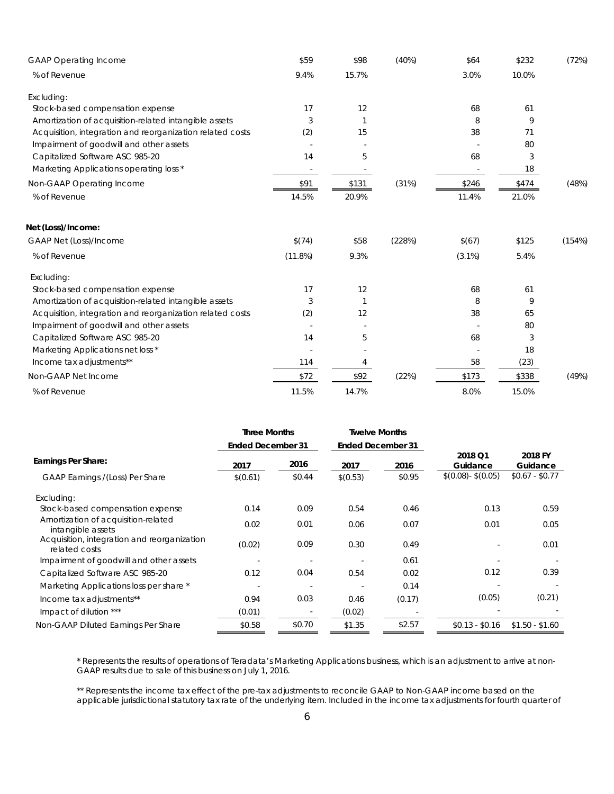| <b>GAAP Operating Income</b>                              | \$59                     | \$98  | (40%)  | \$64                     | \$232 | (72%)  |
|-----------------------------------------------------------|--------------------------|-------|--------|--------------------------|-------|--------|
| % of Revenue                                              | 9.4%                     | 15.7% |        | 3.0%                     | 10.0% |        |
| Excluding:                                                |                          |       |        |                          |       |        |
| Stock-based compensation expense                          | 17                       | 12    |        | 68                       | 61    |        |
| Amortization of acquisition-related intangible assets     | 3                        | 1     |        | 8                        | 9     |        |
| Acquisition, integration and reorganization related costs | (2)                      | 15    |        | 38                       | 71    |        |
| Impairment of goodwill and other assets                   |                          |       |        |                          | 80    |        |
| Capitalized Software ASC 985-20                           | 14                       | 5     |        | 68                       | 3     |        |
| Marketing Applications operating loss *                   | $\overline{\phantom{a}}$ |       |        | $\overline{\phantom{a}}$ | 18    |        |
| Non-GAAP Operating Income                                 | \$91                     | \$131 | (31%)  | \$246                    | \$474 | (48%)  |
| % of Revenue                                              | 14.5%                    | 20.9% |        | 11.4%                    | 21.0% |        |
| Net (Loss)/Income:                                        |                          |       |        |                          |       |        |
| GAAP Net (Loss)/Income                                    | \$(74)                   | \$58  | (228%) | \$(67)                   | \$125 | (154%) |
| % of Revenue                                              | (11.8%)                  | 9.3%  |        | $(3.1\%)$                | 5.4%  |        |
| Excluding:                                                |                          |       |        |                          |       |        |
| Stock-based compensation expense                          | 17                       | 12    |        | 68                       | 61    |        |
| Amortization of acquisition-related intangible assets     | 3                        | 1     |        | 8                        | 9     |        |
| Acquisition, integration and reorganization related costs | (2)                      | 12    |        | 38                       | 65    |        |
| Impairment of goodwill and other assets                   |                          |       |        |                          | 80    |        |
| Capitalized Software ASC 985-20                           | 14                       | 5     |        | 68                       | 3     |        |
| Marketing Applications net loss *                         |                          |       |        |                          | 18    |        |
| Income tax adjustments**                                  | 114                      | 4     |        | 58                       | (23)  |        |
| Non-GAAP Net Income                                       | \$72                     | \$92  | (22%)  | \$173                    | \$338 | (49%)  |
| % of Revenue                                              | 11.5%                    | 14.7% |        | 8.0%                     | 15.0% |        |

|                                                              | <b>Three Months</b>      |        | <b>Twelve Months</b>     |        |                     |                     |
|--------------------------------------------------------------|--------------------------|--------|--------------------------|--------|---------------------|---------------------|
|                                                              | <b>Ended December 31</b> |        | <b>Ended December 31</b> |        |                     |                     |
| Earnings Per Share:                                          | 2017                     | 2016   | 2017                     | 2016   | 2018 Q1<br>Guidance | 2018 FY<br>Guidance |
| GAAP Earnings /(Loss) Per Share                              | \$(0.61)                 | \$0.44 | \$(0.53)                 | \$0.95 | $$(0.08) - $(0.05)$ | $$0.67 - $0.77$     |
| Excluding:                                                   |                          |        |                          |        |                     |                     |
| Stock-based compensation expense                             | 0.14                     | 0.09   | 0.54                     | 0.46   | 0.13                | 0.59                |
| Amortization of acquisition-related<br>intangible assets     | 0.02                     | 0.01   | 0.06                     | 0.07   | 0.01                | 0.05                |
| Acquisition, integration and reorganization<br>related costs | (0.02)                   | 0.09   | 0.30                     | 0.49   |                     | 0.01                |
| Impairment of goodwill and other assets                      |                          |        |                          | 0.61   |                     |                     |
| Capitalized Software ASC 985-20                              | 0.12                     | 0.04   | 0.54                     | 0.02   | 0.12                | 0.39                |
| Marketing Applications loss per share *                      |                          |        |                          | 0.14   |                     |                     |
| Income tax adjustments**                                     | 0.94                     | 0.03   | 0.46                     | (0.17) | (0.05)              | (0.21)              |
| Impact of dilution ***                                       | (0.01)                   |        | (0.02)                   |        |                     |                     |
| Non-GAAP Diluted Earnings Per Share                          | \$0.58                   | \$0.70 | \$1.35                   | \$2.57 | $$0.13 - $0.16$     | $$1.50 - $1.60$     |

\* Represents the results of operations of Teradata's Marketing Applications business, which is an adjustment to arrive at non-GAAP results due to sale of this business on July 1, 2016.

\*\* Represents the income tax effect of the pre-tax adjustments to reconcile GAAP to Non-GAAP income based on the applicable jurisdictional statutory tax rate of the underlying item. Included in the income tax adjustments for fourth quarter of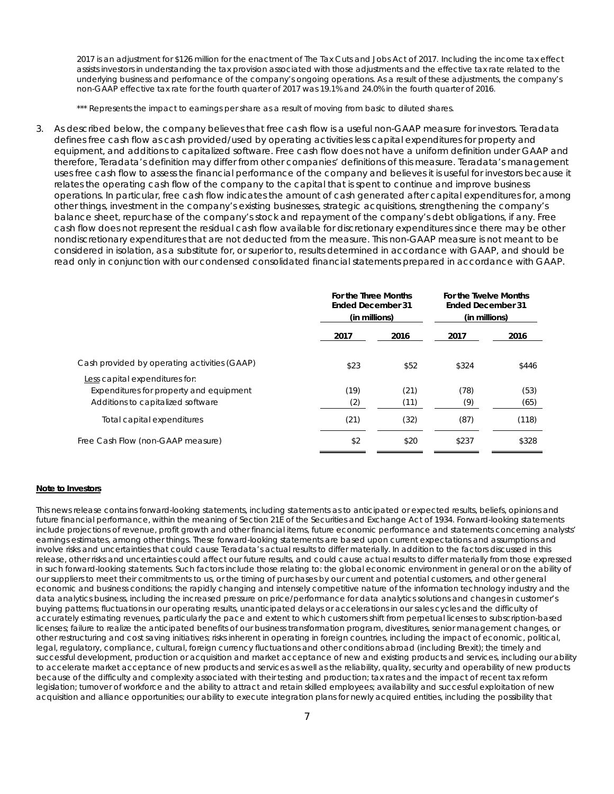2017 is an adjustment for \$126 million for the enactment of The Tax Cuts and Jobs Act of 2017. Including the income tax effect assists investors in understanding the tax provision associated with those adjustments and the effective tax rate related to the underlying business and performance of the company's ongoing operations. As a result of these adjustments, the company's non-GAAP effective tax rate for the fourth quarter of 2017 was 19.1% and 24.0% in the fourth quarter of 2016.

\*\*\* Represents the impact to earnings per share as a result of moving from basic to diluted shares.

3. As described below, the company believes that free cash flow is a useful non-GAAP measure for investors. Teradata defines free cash flow as cash provided/used by operating activities less capital expenditures for property and equipment, and additions to capitalized software. Free cash flow does not have a uniform definition under GAAP and therefore, Teradata's definition may differ from other companies' definitions of this measure. Teradata's management uses free cash flow to assess the financial performance of the company and believes it is useful for investors because it relates the operating cash flow of the company to the capital that is spent to continue and improve business operations. In particular, free cash flow indicates the amount of cash generated after capital expenditures for, among other things, investment in the company's existing businesses, strategic acquisitions, strengthening the company's balance sheet, repurchase of the company's stock and repayment of the company's debt obligations, if any. Free cash flow does not represent the residual cash flow available for discretionary expenditures since there may be other nondiscretionary expenditures that are not deducted from the measure. This non-GAAP measure is not meant to be considered in isolation, as a substitute for, or superior to, results determined in accordance with GAAP, and should be read only in conjunction with our condensed consolidated financial statements prepared in accordance with GAAP.

|                                                                                | For the Three Months<br><b>Ended December 31</b><br>(in millions) |              | For the Twelve Months<br><b>Ended December 31</b><br>(in millions) |              |
|--------------------------------------------------------------------------------|-------------------------------------------------------------------|--------------|--------------------------------------------------------------------|--------------|
|                                                                                | 2016<br>2017                                                      |              | 2017                                                               | 2016         |
| Cash provided by operating activities (GAAP)<br>Less capital expenditures for: | \$23                                                              | \$52         | \$324                                                              | \$446        |
| Expenditures for property and equipment<br>Additions to capitalized software   | (19)<br>(2)                                                       | (21)<br>(11) | (78)<br>(9)                                                        | (53)<br>(65) |
| Total capital expenditures                                                     | (21)                                                              | (32)         | (87)                                                               | (118)        |
| Free Cash Flow (non-GAAP measure)                                              | \$2                                                               | \$20         | \$237                                                              | \$328        |

#### **Note to Investors**

This news release contains forward-looking statements, including statements as to anticipated or expected results, beliefs, opinions and future financial performance, within the meaning of Section 21E of the Securities and Exchange Act of 1934. Forward-looking statements include projections of revenue, profit growth and other financial items, future economic performance and statements concerning analysts' earnings estimates, among other things. These forward-looking statements are based upon current expectations and assumptions and involve risks and uncertainties that could cause Teradata's actual results to differ materially. In addition to the factors discussed in this release, other risks and uncertainties could affect our future results, and could cause actual results to differ materially from those expressed in such forward-looking statements. Such factors include those relating to: the global economic environment in general or on the ability of our suppliers to meet their commitments to us, or the timing of purchases by our current and potential customers, and other general economic and business conditions; the rapidly changing and intensely competitive nature of the information technology industry and the data analytics business, including the increased pressure on price/performance for data analytics solutions and changes in customer's buying patterns; fluctuations in our operating results, unanticipated delays or accelerations in our sales cycles and the difficulty of accurately estimating revenues, particularly the pace and extent to which customers shift from perpetual licenses to subscription-based licenses; failure to realize the anticipated benefits of our business transformation program, divestitures, senior management changes, or other restructuring and cost saving initiatives; risks inherent in operating in foreign countries, including the impact of economic, political, legal, regulatory, compliance, cultural, foreign currency fluctuations and other conditions abroad (including Brexit); the timely and successful development, production or acquisition and market acceptance of new and existing products and services, including our ability to accelerate market acceptance of new products and services as well as the reliability, quality, security and operability of new products because of the difficulty and complexity associated with their testing and production; tax rates and the impact of recent tax reform legislation; turnover of workforce and the ability to attract and retain skilled employees; availability and successful exploitation of new acquisition and alliance opportunities; our ability to execute integration plans for newly acquired entities, including the possibility that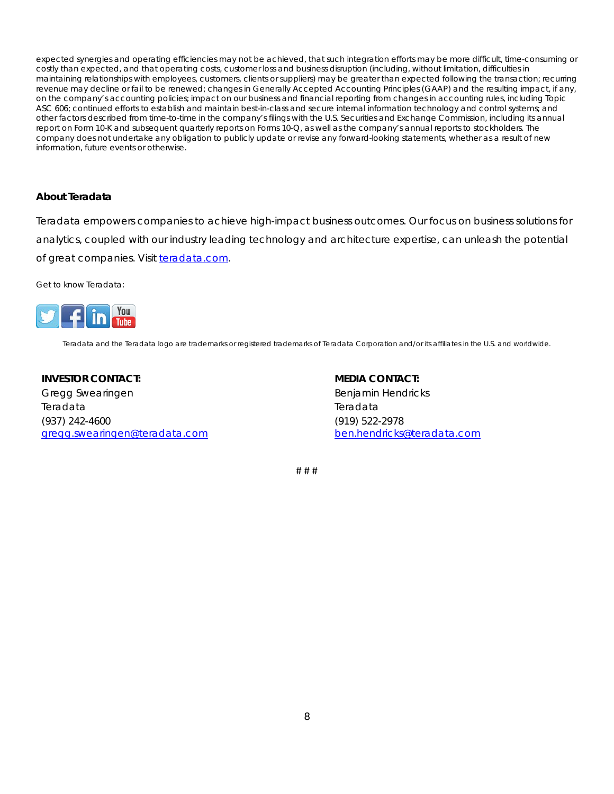expected synergies and operating efficiencies may not be achieved, that such integration efforts may be more difficult, time-consuming or costly than expected, and that operating costs, customer loss and business disruption (including, without limitation, difficulties in maintaining relationships with employees, customers, clients or suppliers) may be greater than expected following the transaction; recurring revenue may decline or fail to be renewed; changes in Generally Accepted Accounting Principles (GAAP) and the resulting impact, if any, on the company's accounting policies; impact on our business and financial reporting from changes in accounting rules, including Topic ASC *606*; continued efforts to establish and maintain best-in-class and secure internal information technology and control systems; and other factors described from time-to-time in the company's filings with the U.S. Securities and Exchange Commission, including its annual report on Form 10-K and subsequent quarterly reports on Forms 10-Q, as well as the company's annual reports to stockholders. The company does not undertake any obligation to publicly update or revise any forward-looking statements, whether as a result of new information, future events or otherwise.

### *About Teradata*

Teradata empowers companies to achieve high-impact business outcomes. Our focus on business solutions for analytics, coupled with our industry leading technology and architecture expertise, can unleash the potential of great companies. Visit [teradata.com.](http://www.teradata.com/)

Get to know Teradata:



Teradata and the Teradata logo are trademarks or registered trademarks of Teradata Corporation and/or its affiliates in the U.S. and worldwide.

**INVESTOR CONTACT:** 

Gregg Swearingen Teradata (937) 242-4600 [gregg.swearingen@teradata.com](mailto:gregg.swearingen@teradata.com) **MEDIA CONTACT:** Benjamin Hendricks Teradata (919) 522-2978 [ben.hendricks@teradata.com](mailto:ben.hendricks@teradata.com)

# # #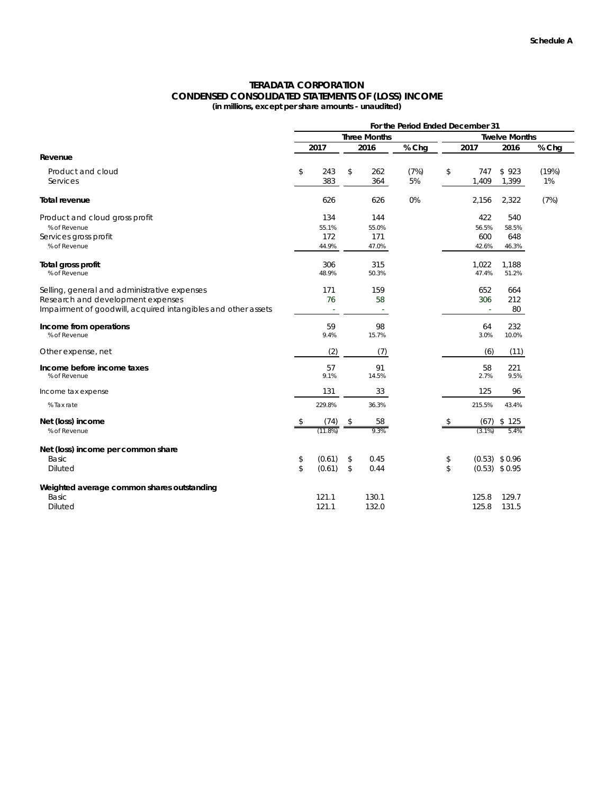#### **TERADATA CORPORATION CONDENSED CONSOLIDATED STATEMENTS OF (LOSS) INCOME (in millions, except per share amounts - unaudited)**

| <b>Three Months</b><br><b>Twelve Months</b><br>2016<br>% Chg<br>2017<br>2017<br>2016<br>% Chg<br>Revenue<br>\$<br>\$<br>(7%)<br>(19%)<br>Product and cloud<br>243<br>262<br>747<br>\$923<br>\$<br>383<br>5%<br>364<br>1,409<br>1,399<br>1%<br>Services<br>0%<br>626<br>2,156<br>2,322<br>(7%)<br>Total revenue<br>626<br>134<br>422<br>144<br>540<br>Product and cloud gross profit<br>55.1%<br>55.0%<br>56.5%<br>58.5%<br>% of Revenue<br>172<br>171<br>600<br>648<br>Services gross profit<br>% of Revenue<br>44.9%<br>47.0%<br>42.6%<br>46.3%<br>306<br>315<br>1,022<br>1,188<br>Total gross profit<br>% of Revenue<br>48.9%<br>50.3%<br>47.4%<br>51.2%<br>171<br>159<br>652<br>Selling, general and administrative expenses<br>664<br>212<br>Research and development expenses<br>76<br>58<br>306<br>Impairment of goodwill, acquired intangibles and other assets<br>80<br>$\sim$<br>59<br>98<br>232<br>64<br>Income from operations<br>3.0%<br>% of Revenue<br>9.4%<br>15.7%<br>10.0%<br>(2)<br>(7)<br>(6)<br>(11)<br>Other expense, net<br>57<br>91<br>58<br>221<br>Income before income taxes<br>2.7%<br>9.5%<br>% of Revenue<br>9.1%<br>14.5%<br>131<br>33<br>125<br>96<br>Income tax expense<br>229.8%<br>36.3%<br>215.5%<br>% Tax rate<br>43.4%<br>Net (loss) income<br>(74)<br>58<br>(67)<br>\$125<br>\$<br>\$<br>\$<br>9.3%<br>% of Revenue<br>$(11.8\%)$<br>5.4%<br>$(3.1\%)$<br>Net (loss) income per common share<br>Basic<br>(0.61)<br>$(0.53)$ \$ 0.96<br>\$<br>0.45<br>\$<br>\$<br>$\mathbb{S}$<br>(0.61)<br>\$<br>\$<br><b>Diluted</b><br>0.44<br>$(0.53)$ \$ 0.95<br>Weighted average common shares outstanding<br>121.1<br>130.1<br>129.7<br>Basic<br>125.8<br>121.1<br>132.0<br>125.8<br><b>Diluted</b><br>131.5 | For the Period Ended December 31 |  |  |  |  |  |  |  |  |
|-----------------------------------------------------------------------------------------------------------------------------------------------------------------------------------------------------------------------------------------------------------------------------------------------------------------------------------------------------------------------------------------------------------------------------------------------------------------------------------------------------------------------------------------------------------------------------------------------------------------------------------------------------------------------------------------------------------------------------------------------------------------------------------------------------------------------------------------------------------------------------------------------------------------------------------------------------------------------------------------------------------------------------------------------------------------------------------------------------------------------------------------------------------------------------------------------------------------------------------------------------------------------------------------------------------------------------------------------------------------------------------------------------------------------------------------------------------------------------------------------------------------------------------------------------------------------------------------------------------------------------------------------------------------------------------------------------------------------------------------|----------------------------------|--|--|--|--|--|--|--|--|
|                                                                                                                                                                                                                                                                                                                                                                                                                                                                                                                                                                                                                                                                                                                                                                                                                                                                                                                                                                                                                                                                                                                                                                                                                                                                                                                                                                                                                                                                                                                                                                                                                                                                                                                                         |                                  |  |  |  |  |  |  |  |  |
|                                                                                                                                                                                                                                                                                                                                                                                                                                                                                                                                                                                                                                                                                                                                                                                                                                                                                                                                                                                                                                                                                                                                                                                                                                                                                                                                                                                                                                                                                                                                                                                                                                                                                                                                         |                                  |  |  |  |  |  |  |  |  |
|                                                                                                                                                                                                                                                                                                                                                                                                                                                                                                                                                                                                                                                                                                                                                                                                                                                                                                                                                                                                                                                                                                                                                                                                                                                                                                                                                                                                                                                                                                                                                                                                                                                                                                                                         |                                  |  |  |  |  |  |  |  |  |
|                                                                                                                                                                                                                                                                                                                                                                                                                                                                                                                                                                                                                                                                                                                                                                                                                                                                                                                                                                                                                                                                                                                                                                                                                                                                                                                                                                                                                                                                                                                                                                                                                                                                                                                                         |                                  |  |  |  |  |  |  |  |  |
|                                                                                                                                                                                                                                                                                                                                                                                                                                                                                                                                                                                                                                                                                                                                                                                                                                                                                                                                                                                                                                                                                                                                                                                                                                                                                                                                                                                                                                                                                                                                                                                                                                                                                                                                         |                                  |  |  |  |  |  |  |  |  |
|                                                                                                                                                                                                                                                                                                                                                                                                                                                                                                                                                                                                                                                                                                                                                                                                                                                                                                                                                                                                                                                                                                                                                                                                                                                                                                                                                                                                                                                                                                                                                                                                                                                                                                                                         |                                  |  |  |  |  |  |  |  |  |
|                                                                                                                                                                                                                                                                                                                                                                                                                                                                                                                                                                                                                                                                                                                                                                                                                                                                                                                                                                                                                                                                                                                                                                                                                                                                                                                                                                                                                                                                                                                                                                                                                                                                                                                                         |                                  |  |  |  |  |  |  |  |  |
|                                                                                                                                                                                                                                                                                                                                                                                                                                                                                                                                                                                                                                                                                                                                                                                                                                                                                                                                                                                                                                                                                                                                                                                                                                                                                                                                                                                                                                                                                                                                                                                                                                                                                                                                         |                                  |  |  |  |  |  |  |  |  |
|                                                                                                                                                                                                                                                                                                                                                                                                                                                                                                                                                                                                                                                                                                                                                                                                                                                                                                                                                                                                                                                                                                                                                                                                                                                                                                                                                                                                                                                                                                                                                                                                                                                                                                                                         |                                  |  |  |  |  |  |  |  |  |
|                                                                                                                                                                                                                                                                                                                                                                                                                                                                                                                                                                                                                                                                                                                                                                                                                                                                                                                                                                                                                                                                                                                                                                                                                                                                                                                                                                                                                                                                                                                                                                                                                                                                                                                                         |                                  |  |  |  |  |  |  |  |  |
|                                                                                                                                                                                                                                                                                                                                                                                                                                                                                                                                                                                                                                                                                                                                                                                                                                                                                                                                                                                                                                                                                                                                                                                                                                                                                                                                                                                                                                                                                                                                                                                                                                                                                                                                         |                                  |  |  |  |  |  |  |  |  |
|                                                                                                                                                                                                                                                                                                                                                                                                                                                                                                                                                                                                                                                                                                                                                                                                                                                                                                                                                                                                                                                                                                                                                                                                                                                                                                                                                                                                                                                                                                                                                                                                                                                                                                                                         |                                  |  |  |  |  |  |  |  |  |
|                                                                                                                                                                                                                                                                                                                                                                                                                                                                                                                                                                                                                                                                                                                                                                                                                                                                                                                                                                                                                                                                                                                                                                                                                                                                                                                                                                                                                                                                                                                                                                                                                                                                                                                                         |                                  |  |  |  |  |  |  |  |  |
|                                                                                                                                                                                                                                                                                                                                                                                                                                                                                                                                                                                                                                                                                                                                                                                                                                                                                                                                                                                                                                                                                                                                                                                                                                                                                                                                                                                                                                                                                                                                                                                                                                                                                                                                         |                                  |  |  |  |  |  |  |  |  |
|                                                                                                                                                                                                                                                                                                                                                                                                                                                                                                                                                                                                                                                                                                                                                                                                                                                                                                                                                                                                                                                                                                                                                                                                                                                                                                                                                                                                                                                                                                                                                                                                                                                                                                                                         |                                  |  |  |  |  |  |  |  |  |
|                                                                                                                                                                                                                                                                                                                                                                                                                                                                                                                                                                                                                                                                                                                                                                                                                                                                                                                                                                                                                                                                                                                                                                                                                                                                                                                                                                                                                                                                                                                                                                                                                                                                                                                                         |                                  |  |  |  |  |  |  |  |  |
|                                                                                                                                                                                                                                                                                                                                                                                                                                                                                                                                                                                                                                                                                                                                                                                                                                                                                                                                                                                                                                                                                                                                                                                                                                                                                                                                                                                                                                                                                                                                                                                                                                                                                                                                         |                                  |  |  |  |  |  |  |  |  |
|                                                                                                                                                                                                                                                                                                                                                                                                                                                                                                                                                                                                                                                                                                                                                                                                                                                                                                                                                                                                                                                                                                                                                                                                                                                                                                                                                                                                                                                                                                                                                                                                                                                                                                                                         |                                  |  |  |  |  |  |  |  |  |
|                                                                                                                                                                                                                                                                                                                                                                                                                                                                                                                                                                                                                                                                                                                                                                                                                                                                                                                                                                                                                                                                                                                                                                                                                                                                                                                                                                                                                                                                                                                                                                                                                                                                                                                                         |                                  |  |  |  |  |  |  |  |  |
|                                                                                                                                                                                                                                                                                                                                                                                                                                                                                                                                                                                                                                                                                                                                                                                                                                                                                                                                                                                                                                                                                                                                                                                                                                                                                                                                                                                                                                                                                                                                                                                                                                                                                                                                         |                                  |  |  |  |  |  |  |  |  |
|                                                                                                                                                                                                                                                                                                                                                                                                                                                                                                                                                                                                                                                                                                                                                                                                                                                                                                                                                                                                                                                                                                                                                                                                                                                                                                                                                                                                                                                                                                                                                                                                                                                                                                                                         |                                  |  |  |  |  |  |  |  |  |
|                                                                                                                                                                                                                                                                                                                                                                                                                                                                                                                                                                                                                                                                                                                                                                                                                                                                                                                                                                                                                                                                                                                                                                                                                                                                                                                                                                                                                                                                                                                                                                                                                                                                                                                                         |                                  |  |  |  |  |  |  |  |  |
|                                                                                                                                                                                                                                                                                                                                                                                                                                                                                                                                                                                                                                                                                                                                                                                                                                                                                                                                                                                                                                                                                                                                                                                                                                                                                                                                                                                                                                                                                                                                                                                                                                                                                                                                         |                                  |  |  |  |  |  |  |  |  |
|                                                                                                                                                                                                                                                                                                                                                                                                                                                                                                                                                                                                                                                                                                                                                                                                                                                                                                                                                                                                                                                                                                                                                                                                                                                                                                                                                                                                                                                                                                                                                                                                                                                                                                                                         |                                  |  |  |  |  |  |  |  |  |
|                                                                                                                                                                                                                                                                                                                                                                                                                                                                                                                                                                                                                                                                                                                                                                                                                                                                                                                                                                                                                                                                                                                                                                                                                                                                                                                                                                                                                                                                                                                                                                                                                                                                                                                                         |                                  |  |  |  |  |  |  |  |  |
|                                                                                                                                                                                                                                                                                                                                                                                                                                                                                                                                                                                                                                                                                                                                                                                                                                                                                                                                                                                                                                                                                                                                                                                                                                                                                                                                                                                                                                                                                                                                                                                                                                                                                                                                         |                                  |  |  |  |  |  |  |  |  |
|                                                                                                                                                                                                                                                                                                                                                                                                                                                                                                                                                                                                                                                                                                                                                                                                                                                                                                                                                                                                                                                                                                                                                                                                                                                                                                                                                                                                                                                                                                                                                                                                                                                                                                                                         |                                  |  |  |  |  |  |  |  |  |
|                                                                                                                                                                                                                                                                                                                                                                                                                                                                                                                                                                                                                                                                                                                                                                                                                                                                                                                                                                                                                                                                                                                                                                                                                                                                                                                                                                                                                                                                                                                                                                                                                                                                                                                                         |                                  |  |  |  |  |  |  |  |  |
|                                                                                                                                                                                                                                                                                                                                                                                                                                                                                                                                                                                                                                                                                                                                                                                                                                                                                                                                                                                                                                                                                                                                                                                                                                                                                                                                                                                                                                                                                                                                                                                                                                                                                                                                         |                                  |  |  |  |  |  |  |  |  |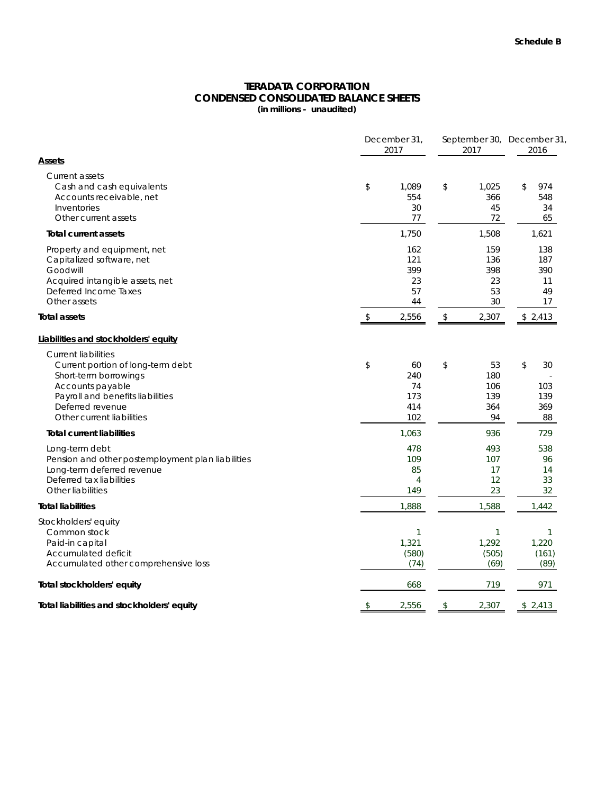### **TERADATA CORPORATION CONDENSED CONSOLIDATED BALANCE SHEETS (in millions - unaudited)**

|                                                                                                                                                                                                   | December 31,<br>2017                       |    |                                      | September 30, December 31,<br>2016  |  |
|---------------------------------------------------------------------------------------------------------------------------------------------------------------------------------------------------|--------------------------------------------|----|--------------------------------------|-------------------------------------|--|
| Assets                                                                                                                                                                                            |                                            |    |                                      |                                     |  |
| <b>Current assets</b><br>Cash and cash equivalents<br>Accounts receivable, net<br>Inventories<br>Other current assets                                                                             | \$<br>1,089<br>554<br>30<br>77             | \$ | 1,025<br>366<br>45<br>72             | \$<br>974<br>548<br>34<br>65        |  |
| <b>Total current assets</b>                                                                                                                                                                       | 1,750                                      |    | 1,508                                | 1,621                               |  |
| Property and equipment, net<br>Capitalized software, net<br>Goodwill<br>Acquired intangible assets, net<br>Deferred Income Taxes<br>Other assets                                                  | 162<br>121<br>399<br>23<br>57<br>44        |    | 159<br>136<br>398<br>23<br>53<br>30  | 138<br>187<br>390<br>11<br>49<br>17 |  |
| <b>Total assets</b>                                                                                                                                                                               | \$<br>2,556                                | \$ | 2,307                                | \$2,413                             |  |
| Liabilities and stockholders' equity                                                                                                                                                              |                                            |    |                                      |                                     |  |
| <b>Current liabilities</b><br>Current portion of long-term debt<br>Short-term borrowings<br>Accounts payable<br>Payroll and benefits liabilities<br>Deferred revenue<br>Other current liabilities | \$<br>60<br>240<br>74<br>173<br>414<br>102 | \$ | 53<br>180<br>106<br>139<br>364<br>94 | \$<br>30<br>103<br>139<br>369<br>88 |  |
| <b>Total current liabilities</b>                                                                                                                                                                  | 1,063                                      |    | 936                                  | 729                                 |  |
| Long-term debt<br>Pension and other postemployment plan liabilities<br>Long-term deferred revenue<br>Deferred tax liabilities<br>Other liabilities                                                | 478<br>109<br>85<br>$\overline{4}$<br>149  |    | 493<br>107<br>17<br>12<br>23         | 538<br>96<br>14<br>33<br>32         |  |
| <b>Total liabilities</b>                                                                                                                                                                          | 1,888                                      |    | 1,588                                | 1,442                               |  |
| Stockholders' equity<br>Common stock<br>Paid-in capital<br>Accumulated deficit<br>Accumulated other comprehensive loss                                                                            | 1<br>1,321<br>(580)<br>(74)                |    | 1<br>1,292<br>(505)<br>(69)          | 1<br>1,220<br>(161)<br>(89)         |  |
| Total stockholders' equity                                                                                                                                                                        | 668                                        |    | 719                                  | 971                                 |  |
| Total liabilities and stockholders' equity                                                                                                                                                        | \$<br>2,556                                | \$ | 2,307                                | \$2,413                             |  |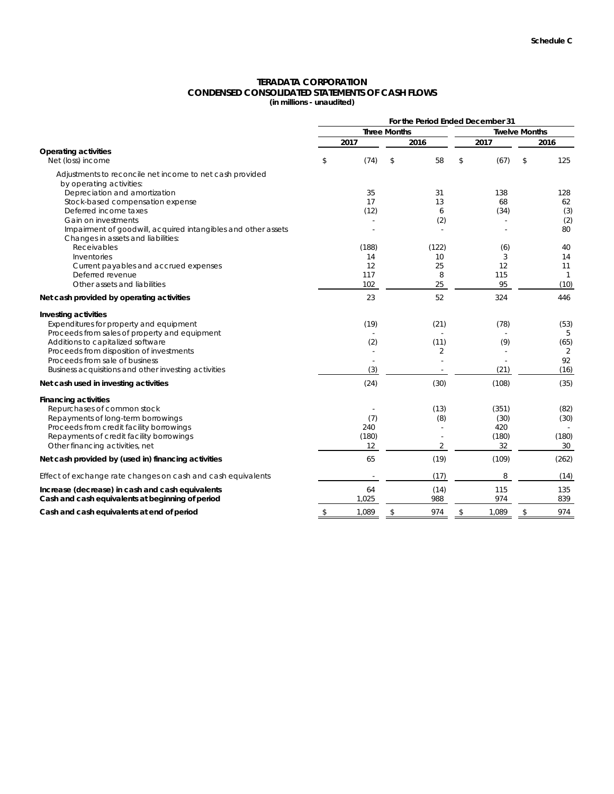# **TERADATA CORPORATION CONDENSED CONSOLIDATED STATEMENTS OF CASH FLOWS**

**(in millions - unaudited)**

|                                                                                                     | For the Period Ended December 31 |       |                     |       |                      |       |    |              |  |
|-----------------------------------------------------------------------------------------------------|----------------------------------|-------|---------------------|-------|----------------------|-------|----|--------------|--|
|                                                                                                     |                                  |       | <b>Three Months</b> |       | <b>Twelve Months</b> |       |    |              |  |
|                                                                                                     |                                  | 2017  |                     | 2016  |                      | 2017  |    | 2016         |  |
| <b>Operating activities</b><br>Net (loss) income                                                    | \$                               | (74)  | \$                  | 58    | \$                   | (67)  | \$ | 125          |  |
| Adjustments to reconcile net income to net cash provided<br>by operating activities:                |                                  |       |                     |       |                      |       |    |              |  |
| Depreciation and amortization                                                                       |                                  | 35    |                     | 31    |                      | 138   |    | 128          |  |
| Stock-based compensation expense                                                                    |                                  | 17    |                     | 13    |                      | 68    |    | 62           |  |
| Deferred income taxes                                                                               |                                  | (12)  |                     | 6     |                      | (34)  |    | (3)          |  |
| Gain on investments                                                                                 |                                  |       |                     | (2)   |                      |       |    | (2)          |  |
| Impairment of goodwill, acquired intangibles and other assets<br>Changes in assets and liabilities: |                                  |       |                     |       |                      |       |    | 80           |  |
| Receivables                                                                                         |                                  | (188) |                     | (122) |                      | (6)   |    | 40           |  |
| Inventories                                                                                         |                                  | 14    |                     | 10    |                      | 3     |    | 14           |  |
| Current payables and accrued expenses                                                               |                                  | 12    |                     | 25    |                      | 12    |    | 11           |  |
| Deferred revenue                                                                                    |                                  | 117   |                     | 8     |                      | 115   |    | $\mathbf{1}$ |  |
| Other assets and liabilities                                                                        |                                  | 102   |                     | 25    |                      | 95    |    | (10)         |  |
| Net cash provided by operating activities                                                           |                                  | 23    |                     | 52    |                      | 324   |    | 446          |  |
| <b>Investing activities</b>                                                                         |                                  |       |                     |       |                      |       |    |              |  |
| Expenditures for property and equipment                                                             |                                  | (19)  |                     | (21)  |                      | (78)  |    | (53)         |  |
| Proceeds from sales of property and equipment                                                       |                                  |       |                     |       |                      |       |    | 5            |  |
| Additions to capitalized software                                                                   |                                  | (2)   |                     | (11)  |                      | (9)   |    | (65)         |  |
| Proceeds from disposition of investments                                                            |                                  |       |                     | 2     |                      |       |    | 2            |  |
| Proceeds from sale of business                                                                      |                                  |       |                     |       |                      |       |    | 92           |  |
| Business acquisitions and other investing activities                                                |                                  | (3)   |                     |       |                      | (21)  |    | (16)         |  |
| Net cash used in investing activities                                                               |                                  | (24)  |                     | (30)  |                      | (108) |    | (35)         |  |
| <b>Financing activities</b>                                                                         |                                  |       |                     |       |                      |       |    |              |  |
| Repurchases of common stock                                                                         |                                  |       |                     | (13)  |                      | (351) |    | (82)         |  |
| Repayments of long-term borrowings                                                                  |                                  | (7)   |                     | (8)   |                      | (30)  |    | (30)         |  |
| Proceeds from credit facility borrowings                                                            |                                  | 240   |                     |       |                      | 420   |    |              |  |
| Repayments of credit facility borrowings                                                            |                                  | (180) |                     |       |                      | (180) |    | (180)        |  |
| Other financing activities, net                                                                     |                                  | 12    |                     | 2     |                      | 32    |    | 30           |  |
| Net cash provided by (used in) financing activities                                                 |                                  | 65    |                     | (19)  |                      | (109) |    | (262)        |  |
| Effect of exchange rate changes on cash and cash equivalents                                        |                                  |       |                     | (17)  |                      | 8     |    | (14)         |  |
| Increase (decrease) in cash and cash equivalents                                                    |                                  | 64    |                     | (14)  |                      | 115   |    | 135          |  |
| Cash and cash equivalents at beginning of period                                                    |                                  | 1,025 |                     | 988   |                      | 974   |    | 839          |  |
| Cash and cash equivalents at end of period                                                          | \$                               | 1,089 | \$                  | 974   | \$                   | 1,089 | \$ | 974          |  |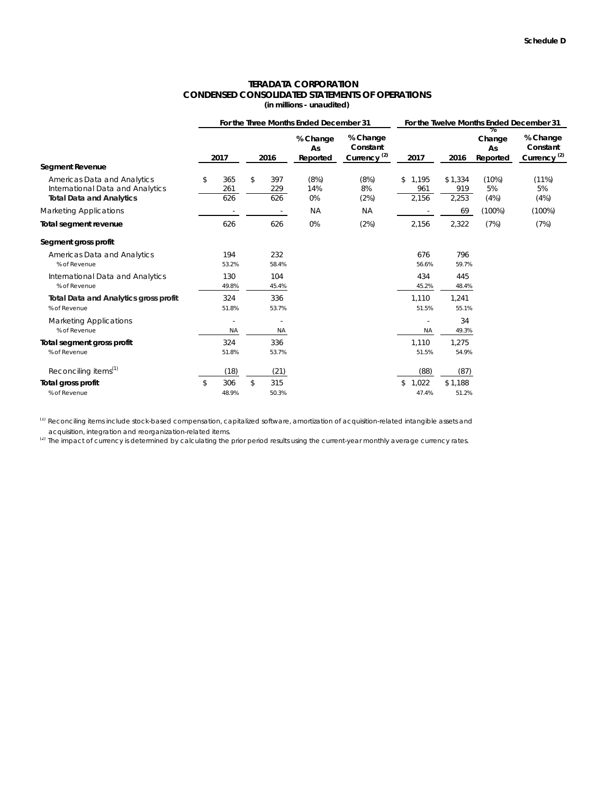# **CONDENSED CONSOLIDATED STATEMENTS OF OPERATIONS TERADATA CORPORATION**

|  |  | (in millions - unaudited) |  |
|--|--|---------------------------|--|
|--|--|---------------------------|--|

|                                                                 | For the Three Months Ended December 31 |    |                          |                            |                                                 |                    | For the Twelve Months Ended December 31 |                          |                                                 |  |
|-----------------------------------------------------------------|----------------------------------------|----|--------------------------|----------------------------|-------------------------------------------------|--------------------|-----------------------------------------|--------------------------|-------------------------------------------------|--|
| Segment Revenue                                                 | 2017                                   |    | 2016                     | % Change<br>As<br>Reported | % Change<br>Constant<br>Currency <sup>(2)</sup> | 2017               | 2016                                    | Change<br>As<br>Reported | % Change<br>Constant<br>Currency <sup>(2)</sup> |  |
|                                                                 |                                        |    |                          |                            |                                                 |                    |                                         |                          |                                                 |  |
| Americas Data and Analytics<br>International Data and Analytics | \$<br>365<br>261                       | \$ | 397<br>229               | (8%)<br>14%                | (8%)<br>8%                                      | 1,195<br>\$<br>961 | \$1,334<br>919                          | (10%)<br>5%              | (11%)<br>5%                                     |  |
| <b>Total Data and Analytics</b>                                 | 626                                    |    | 626                      | 0%                         | (2%)                                            | 2,156              | 2,253                                   | (4%)                     | (4%)                                            |  |
| <b>Marketing Applications</b>                                   |                                        |    | $\overline{\phantom{a}}$ | <b>NA</b>                  | <b>NA</b>                                       |                    | 69                                      | (100%)                   | $(100\%)$                                       |  |
| Total segment revenue                                           | 626                                    |    | 626                      | 0%                         | (2%)                                            | 2,156              | 2,322                                   | (7%)                     | (7%)                                            |  |
| Segment gross profit                                            |                                        |    |                          |                            |                                                 |                    |                                         |                          |                                                 |  |
| Americas Data and Analytics                                     | 194                                    |    | 232                      |                            |                                                 | 676                | 796                                     |                          |                                                 |  |
| % of Revenue                                                    | 53.2%                                  |    | 58.4%                    |                            |                                                 | 56.6%              | 59.7%                                   |                          |                                                 |  |
| International Data and Analytics                                | 130                                    |    | 104                      |                            |                                                 | 434                | 445                                     |                          |                                                 |  |
| % of Revenue                                                    | 49.8%                                  |    | 45.4%                    |                            |                                                 | 45.2%              | 48.4%                                   |                          |                                                 |  |
| <b>Total Data and Analytics gross profit</b>                    | 324                                    |    | 336                      |                            |                                                 | 1,110              | 1,241                                   |                          |                                                 |  |
| % of Revenue                                                    | 51.8%                                  |    | 53.7%                    |                            |                                                 | 51.5%              | 55.1%                                   |                          |                                                 |  |
| <b>Marketing Applications</b>                                   |                                        |    | $\overline{\phantom{a}}$ |                            |                                                 | ÷,                 | 34                                      |                          |                                                 |  |
| % of Revenue                                                    | <b>NA</b>                              |    | <b>NA</b>                |                            |                                                 | <b>NA</b>          | 49.3%                                   |                          |                                                 |  |
| Total segment gross profit                                      | 324                                    |    | 336                      |                            |                                                 | 1.110              | 1,275                                   |                          |                                                 |  |
| % of Revenue                                                    | 51.8%                                  |    | 53.7%                    |                            |                                                 | 51.5%              | 54.9%                                   |                          |                                                 |  |
| Reconciling items <sup>(1)</sup>                                | (18)                                   |    | (21)                     |                            |                                                 | (88)               | (87)                                    |                          |                                                 |  |
| Total gross profit                                              | \$<br>306                              | \$ | 315                      |                            |                                                 | \$<br>1,022        | \$1,188                                 |                          |                                                 |  |
| % of Revenue                                                    | 48.9%                                  |    | 50.3%                    |                            |                                                 | 47.4%              | 51.2%                                   |                          |                                                 |  |

(1) Reconciling items include stock-based compensation, capitalized software, amortization of acquisition-related intangible assets and acquisition, integration and reorganization-related items.

(2) The impact of currency is determined by calculating the prior period results using the current-year monthly average currency rates.